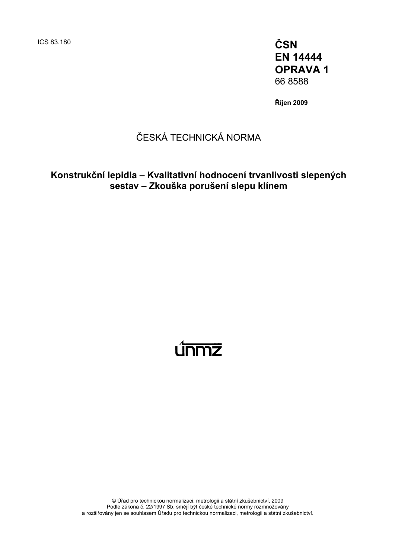ICS 83.180 **ČSN EN 14444 OPRAVA 1**  66 8588

**Říjen 2009** 

### ČESKÁ TECHNICKÁ NORMA

#### **Konstrukční lepidla – Kvalitativní hodnocení trvanlivosti slepených sestav – Zkouška porušení slepu klínem**

# <u>únmz</u>

© Úřad pro technickou normalizaci, metrologii a státní zkušebnictví, 2009 Podle zákona č. 22/1997 Sb. smějí být české technické normy rozmnožovány a rozšiřovány jen se souhlasem Úřadu pro technickou normalizaci, metrologii a státní zkušebnictví.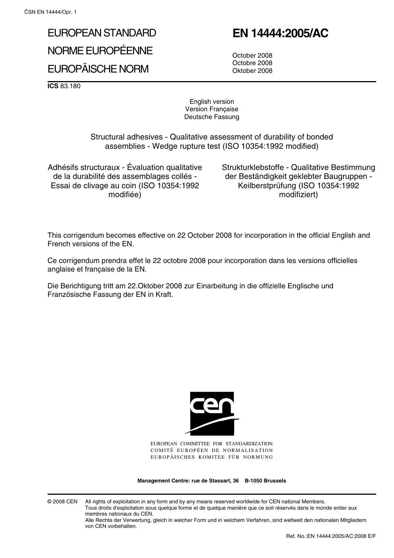## EUROPEAN STANDARD NORME EUROPÉENNE

#### EUROPÄISCHE NORM

## **EN 14444:2005/AC**

October 2008 Octobre 2008 Oktober 2008

**ICS** 83.180

English version Version Française Deutsche Fassung

Structural adhesives - Qualitative assessment of durability of bonded assemblies - Wedge rupture test (ISO 10354:1992 modified)

Adhésifs structuraux - Évaluation qualitative de la durabilité des assemblages collés - Essai de clivage au coin (ISO 10354:1992 modifiée)

Strukturklebstoffe - Qualitative Bestimmung der Beständigkeit geklebter Baugruppen - Keilberstprüfung (ISO 10354:1992 modifiziert)

This corrigendum becomes effective on 22 October 2008 for incorporation in the official English and French versions of the EN.

Ce corrigendum prendra effet le 22 octobre 2008 pour incorporation dans les versions officielles anglaise et française de la EN.

Die Berichtigung tritt am 22.Oktober 2008 zur Einarbeitung in die offizielle Englische und Französische Fassung der EN in Kraft.



EUROPEAN COMMITTEE FOR STANDARDIZATION COMITÉ EUROPÉEN DE NORMALISATION EUROPÄISCHES KOMITEE FÜR NORMUNG

**Management Centre: rue de Stassart, 36 B-1050 Brussels**

© 2008 CEN All rights of exploitation in any form and by any means reserved worldwide for CEN national Members. Tous droits d'exploitation sous quelque forme et de quelque manière que ce soit réservés dans le monde entier aux membres nationaux du CEN.

Alle Rechte der Verwertung, gleich in welcher Form und in welchem Verfahren, sind weltweit den nationalen Mitgliedern von CEN vorbehalten.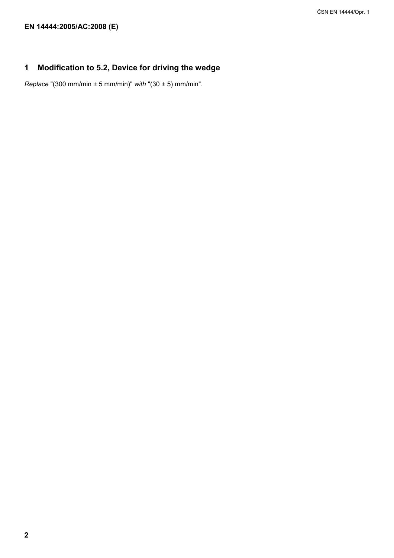#### **1 Modification to 5.2, Device for driving the wedge**

*Replace* "(300 mm/min ± 5 mm/min)" *with* "(30 ± 5) mm/min".